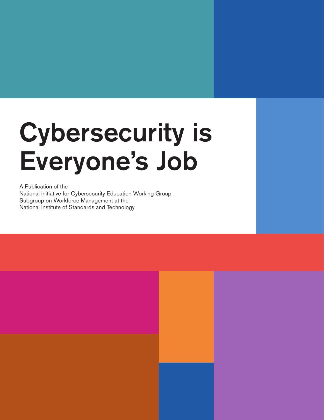# Cybersecurity is Everyone's Job

1 | v1.0

A Publication of the National Initiative for Cybersecurity Education Working Group Subgroup on Workforce Management at the National Institute of Standards and Technology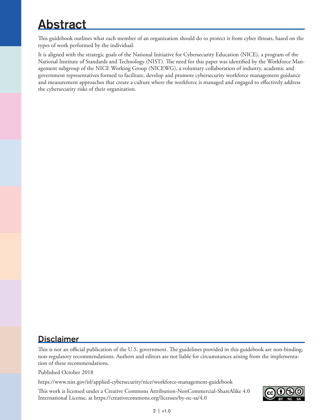## <span id="page-1-0"></span>Abstract

This guidebook outlines what each member of an organization should do to protect it from cyber threats, based on the types of work performed by the individual.

It is aligned with the strategic goals of the National Initiative for Cybersecurity Education (NICE), a program of the National Institute of Standards and Technology (NIST). The need for this paper was identified by the Workforce Management subgroup of the NICE Working Group (NICEWG), a voluntary collaboration of industry, academic and government representatives formed to facilitate, develop and promote cybersecurity workforce management guidance and measurement approaches that create a culture where the workforce is managed and engaged to effectively address the cybersecurity risks of their organization.

## **Disclaimer**

This is not an official publication of the U.S. government. The guidelines provided in this guidebook are non-binding, non-regulatory recommendations. Authors and editors are not liable for circumstances arising from the implementation of these recommendations.

Published October 2018

https://www.nist.gov/itl/applied-cybersecurity/nice/workforce-management-guidebook

This work is licensed under a Creative Commons Attribution-NonCommercial-ShareAlike 4.0 International License, at <https://creativecommons.org/licenses/by-nc-sa/4.0>

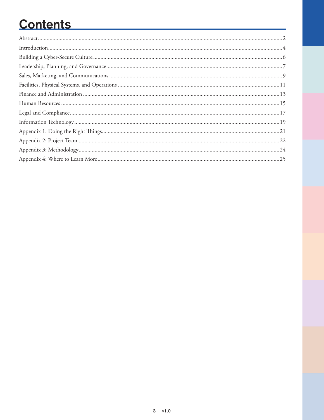## **Contents**

| $\label{prop:1} \text{Introduction}\\$ |  |
|----------------------------------------|--|
|                                        |  |
|                                        |  |
|                                        |  |
|                                        |  |
|                                        |  |
|                                        |  |
|                                        |  |
|                                        |  |
|                                        |  |
|                                        |  |
|                                        |  |
|                                        |  |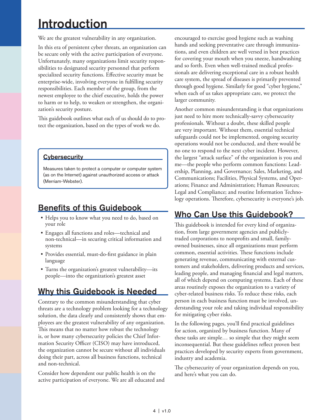## <span id="page-3-0"></span>**Introduction**

We are the greatest vulnerability in any organization.

In this era of persistent cyber threats, an organization can be secure only with the active participation of everyone. Unfortunately, many organizations limit security responsibilities to designated security personnel that perform specialized security functions. Effective security must be enterprise-wide, involving everyone in fulfilling security responsibilities. Each member of the group, from the newest employee to the chief executive, holds the power to harm or to help, to weaken or strengthen, the organization's security posture.

This guidebook outlines what each of us should do to protect the organization, based on the types of work we do.

#### **Cybersecurity**

Measures taken to protect a computer or computer system (as on the Internet) against unauthorized access or attack (Merriam-Webster).

## Benefits of this Guidebook

- Helps you to know what you need to do, based on your role
- Engages all functions and roles—technical and non-technical—in securing critical information and systems
- Provides essential, must-do-first guidance in plain language
- Turns the organization's greatest vulnerability—its people—into the organization's greatest asset

### Why this Guidebook is Needed

Contrary to the common misunderstanding that cyber threats are a technology problem looking for a technology solution, the data clearly and consistently shows that employees are the greatest vulnerability of any organization. This means that no matter how robust the technology is, or how many cybersecurity policies the Chief Information Security Officer (CISO) may have introduced, the organization cannot be secure without all individuals doing their part, across all business functions, technical and non-technical.

Consider how dependent our public health is on the active participation of everyone. We are all educated and encouraged to exercise good hygiene such as washing hands and seeking preventative care through immunizations, and even children are well versed in best practices for covering your mouth when you sneeze, handwashing and so forth. Even when well-trained medical professionals are delivering exceptional care in a robust health care system, the spread of diseases is primarily prevented through good hygiene. Similarly for good "cyber hygiene," when each of us takes appropriate care, we protect the larger community.

Another common misunderstanding is that organizations just need to hire more technically-savvy cybersecurity professionals. Without a doubt, these skilled people are very important. Without them, essential technical safeguards could not be implemented, ongoing security operations would not be conducted, and there would be no one to respond to the next cyber incident. However, the largest "attack surface" of the organization is you and me—the people who perform common functions: Leadership, Planning, and Governance; Sales, Marketing, and Communications; Facilities, Physical Systems, and Operations; Finance and Administration; Human Resources; Legal and Compliance; and routine Information Technology operations. Therefore, cybersecurity is everyone's job.

### Who Can Use this Guidebook?

This guidebook is intended for every kind of organization, from large government agencies and publiclytraded corporations to nonprofits and small, familyowned businesses, since all organizations must perform common, essential activities. These functions include generating revenue, communicating with external customers and stakeholders, delivering products and services, leading people, and managing financial and legal matters, all of which depend on computing systems. Each of these areas routinely exposes the organization to a variety of cyber-related business risks. To reduce these risks, each person in each business function must be involved, understanding your role and taking individual responsibility for mitigating cyber risks.

In the following pages, you'll find practical guidelines for action, organized by business function. Many of these tasks are simple… so simple that they might seem inconsequential. But these guidelines reflect proven best practices developed by security experts from government, industry and academia.

The cybersecurity of your organization depends on you, and here's what you can do.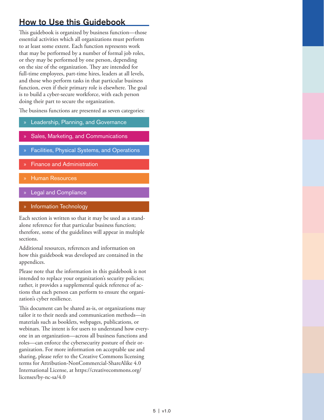## How to Use this Guidebook

This guidebook is organized by business function—those essential activities which all organizations must perform to at least some extent. Each function represents work that may be performed by a number of formal job roles, or they may be performed by one person, depending on the size of the organization. They are intended for full-time employees, part-time hires, leaders at all levels, and those who perform tasks in that particular business function, even if their primary role is elsewhere. The goal is to build a cyber-secure workforce, with each person doing their part to secure the organization.

The business functions are presented as seven categories:

- Leadership, Planning, and Governance
- » Sales, Marketing, and Communications
- » Facilities, Physical Systems, and Operations
- » Finance and Administration
- » Human Resources
- **Legal and Compliance**
- » Information Technology

Each section is written so that it may be used as a standalone reference for that particular business function; therefore, some of the guidelines will appear in multiple sections.

Additional resources, references and information on how this guidebook was developed are contained in the appendices.

Please note that the information in this guidebook is not intended to replace your organization's security policies; rather, it provides a supplemental quick reference of actions that each person can perform to ensure the organization's cyber resilience.

This document can be shared as-is, or organizations may tailor it to their needs and communication methods—in materials such as booklets, webpages, publications, or webinars. The intent is for users to understand how everyone in an organization—across all business functions and roles—can enforce the cybersecurity posture of their organization. For more information on acceptable use and sharing, please refer to the Creative Commons licensing terms for Attribution-NonCommercial-ShareAlike 4.0 International License, at [https://creativecommons.org/](https://creativecommons.org/licenses/by-nc-sa/4.0) [licenses/by-nc-sa/4.0](https://creativecommons.org/licenses/by-nc-sa/4.0)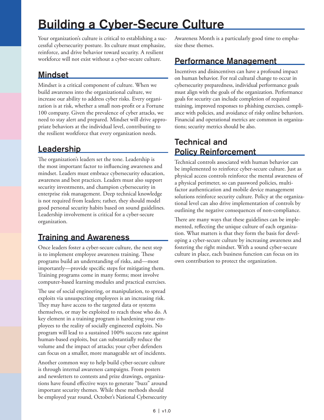## <span id="page-5-0"></span>Building a Cyber-Secure Culture

Your organization's culture is critical to establishing a successful cybersecurity posture. Its culture must emphasize, reinforce, and drive behavior toward security. A resilient workforce will not exist without a cyber-secure culture.

## **Mindset**

Mindset is a critical component of culture. When we build awareness into the organizational culture, we increase our ability to address cyber risks. Every organization is at risk, whether a small non-profit or a Fortune 100 company. Given the prevalence of cyber attacks, we need to stay alert and prepared. Mindset will drive appropriate behaviors at the individual level, contributing to the resilient workforce that every organization needs.

## Leadership

The organization's leaders set the tone. Leadership is the most important factor to influencing awareness and mindset. Leaders must embrace cybersecurity education, awareness and best practices. Leaders must also support security investments, and champion cybersecurity in enterprise risk management. Deep technical knowledge is not required from leaders; rather, they should model good personal security habits based on sound guidelines. Leadership involvement is critical for a cyber-secure organization.

## Training and Awareness

Once leaders foster a cyber-secure culture, the next step is to implement employee awareness training. These programs build an understanding of risks, and—most importantly—provide specific steps for mitigating them. Training programs come in many forms; most involve computer-based learning modules and practical exercises.

The use of social engineering, or manipulation, to spread exploits via unsuspecting employees is an increasing risk. They may have access to the targeted data or systems themselves, or may be exploited to reach those who do. A key element in a training program is hardening your employees to the reality of socially engineered exploits. No program will lead to a sustained 100% success rate against human-based exploits, but can substantially reduce the volume and the impact of attacks; your cyber defenders can focus on a smaller, more manageable set of incidents.

Another common way to help build cyber-secure culture is through internal awareness campaigns. From posters and newsletters to contests and prize drawings, organizations have found effective ways to generate "buzz" around important security themes. While these methods should be employed year round, October's National Cybersecurity

Awareness Month is a particularly good time to emphasize these themes.

## Performance Management

Incentives and disincentives can have a profound impact on human behavior. For real cultural change to occur in cybersecurity preparedness, individual performance goals must align with the goals of the organization. Performance goals for security can include completion of required training, improved responses to phishing exercises, compliance with policies, and avoidance of risky online behaviors. Financial and operational metrics are common in organizations; security metrics should be also.

### Technical and Policy Reinforcement

Technical controls associated with human behavior can be implemented to reinforce cyber-secure culture. Just as physical access controls reinforce the mental awareness of a physical perimeter, so can password policies, multifactor authentication and mobile device management solutions reinforce security culture. Policy at the organizational level can also drive implementation of controls by outlining the negative consequences of non-compliance.

There are many ways that these guidelines can be implemented, reflecting the unique culture of each organization. What matters is that they form the basis for developing a cyber-secure culture by increasing awareness and fostering the right mindset. With a sound cyber-secure culture in place, each business function can focus on its own contribution to protect the organization.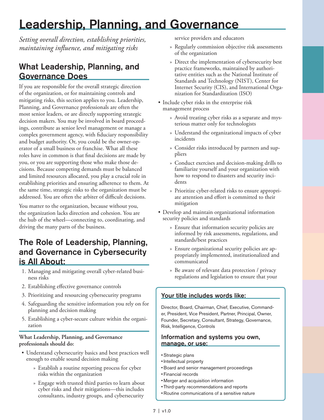## <span id="page-6-0"></span>Leadership, Planning, and Governance

*Setting overall direction, establishing priorities, maintaining influence, and mitigating risks*

## What Leadership, Planning, and Governance Does

If you are responsible for the overall strategic direction of the organization, or for maintaining controls and mitigating risks, this section applies to you. Leadership, Planning, and Governance professionals are often the most senior leaders, or are directly supporting strategic decision makers. You may be involved in board proceedings, contribute as senior level management or manage a complex government agency, with fiduciary responsibility and budget authority. Or, you could be the owner-operator of a small business or franchise. What all these roles have in common is that final decisions are made by you, or you are supporting those who make those decisions. Because competing demands must be balanced and limited resources allocated, you play a crucial role in establishing priorities and ensuring adherence to them. At the same time, strategic risks to the organization must be addressed. You are often the arbiter of difficult decisions.

You matter to the organization, because without you, the organization lacks direction and cohesion. You are the hub of the wheel—connecting to, coordinating, and driving the many parts of the business.

## The Role of Leadership, Planning, and Governance in Cybersecurity is All About:

- 1. Managing and mitigating overall cyber-related business risks
- 2. Establishing effective governance controls
- 3. Prioritizing and resourcing cybersecurity programs
- 4. Safeguarding the sensitive information you rely on for planning and decision making
- 5. Establishing a cyber-secure culture within the organization

#### **What Leadership, Planning, and Governance professionals should do:**

- Understand cybersecurity basics and best practices well enough to enable sound decision making
	- » Establish a routine reporting process for cyber risks within the organization
	- » Engage with trusted third parties to learn about cyber risks and their mitigations—this includes consultants, industry groups, and cybersecurity

service providers and educators

- » Regularly commission objective risk assessments of the organization
- » Direct the implementation of cybersecurity best practice frameworks, maintained by authoritative entities such as the National Institute of Standards and Technology (NIST), Center for Internet Security (CIS), and International Organization for Standardization (ISO)
- Include cyber risks in the enterprise risk management process
	- » Avoid treating cyber risks as a separate and mysterious matter only for technologists
	- » Understand the organizational impacts of cyber incidents
	- » Consider risks introduced by partners and suppliers
	- » Conduct exercises and decision-making drills to familiarize yourself and your organization with how to respond to disasters and security incidents
	- » Prioritize cyber-related risks to ensure appropriate attention and effort is committed to their mitigation
- Develop and maintain organizational information security policies and standards
	- » Ensure that information security policies are informed by risk assessments, regulations, and standards/best practices
	- » Ensure organizational security policies are appropriately implemented, institutionalized and communicated
	- » Be aware of relevant data protection / privacy regulations and legislation to ensure that your

#### Your title includes words like:

Director, Board, Chairman, Chief, Executive, Commander, President, Vice President, Partner, Principal, Owner, Founder, Secretary, Consultant, Strategy, Governance, Risk, Intelligence, Controls

- Strategic plans
- Intellectual property
- •Board and senior management proceedings
- Financial records
- Merger and acquisition information
- Third-party recommendations and reports
- Routine communications of a sensitive nature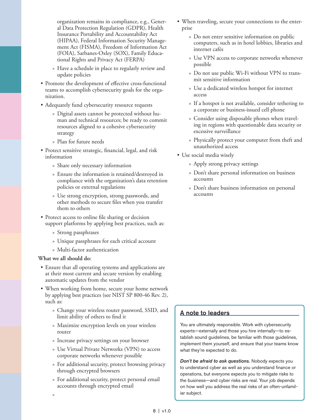organization remains in compliance, e.g., General Data Protection Regulation (GDPR), Health Insurance Portability and Accountability Act (HIPAA), Federal Information Security Management Act (FISMA), Freedom of Information Act (FOIA), Sarbanes-Oxley (SOX), Family Educational Rights and Privacy Act (FERPA)

- » Have a schedule in place to regularly review and update policies
- Promote the development of effective cross-functional teams to accomplish cybersecurity goals for the organization.
- Adequately fund cybersecurity resource requests
	- » Digital assets cannot be protected without human and technical resources; be ready to commit resources aligned to a cohesive cybersecurity strategy
	- » Plan for future needs
- Protect sensitive strategic, financial, legal, and risk information
	- » Share only necessary information
	- » Ensure the information is retained/destroyed in compliance with the organization's data retention policies or external regulations
	- » Use strong encryption, strong passwords, and other methods to secure files when you transfer them to others
- Protect access to online file sharing or decision support platforms by applying best practices, such as:
	- » Strong passphrases
	- » Unique passphrases for each critical account
	- » Multi-factor authentication

#### **What we all should do:**

»

- Ensure that all operating systems and applications are at their most current and secure version by enabling automatic updates from the vendor
- When working from home, secure your home network by applying best practices (see NIST SP 800-46 Rev. 2), such as:
	- » Change your wireless router password, SSID, and limit ability of others to find it
	- » Maximize encryption levels on your wireless router
	- » Increase privacy settings on your browser
	- » Use Virtual Private Networks (VPN) to access corporate networks whenever possible
	- » For additional security, protect browsing privacy through encrypted browsers
	- » For additional security, protect personal email accounts through encrypted email
- When traveling, secure your connections to the enterprise
	- » Do not enter sensitive information on public computers, such as in hotel lobbies, libraries and internet cafés
	- » Use VPN access to corporate networks whenever possible
	- » Do not use public Wi-Fi without VPN to transmit sensitive information
	- » Use a dedicated wireless hotspot for internet access
	- » If a hotspot is not available, consider tethering to a corporate or business-issued cell phone
	- » Consider using disposable phones when traveling in regions with questionable data security or excessive surveillance
	- » Physically protect your computer from theft and unauthorized access
- Use social media wisely
	- » Apply strong privacy settings
	- » Don't share personal information on business accounts
	- » Don't share business information on personal accounts

#### A note to leaders

You are ultimately responsible. Work with cybersecurity experts—externally and those you hire internally—to establish sound guidelines, be familiar with those guidelines, implement them yourself, and ensure that your teams know what they're expected to do.

*Don't be afraid to ask questions.* Nobody expects you to understand cyber as well as you understand finance or operations, but everyone expects you to mitigate risks to the business—and cyber risks are real. Your job depends on how well you address the real risks of an often-unfamiliar subject.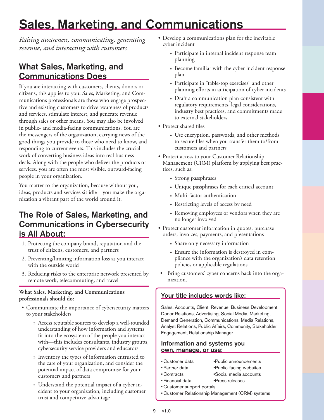## <span id="page-8-0"></span>Sales, Marketing, and Communications

*Raising awareness, communicating, generating revenue, and interacting with customers*

## What Sales, Marketing, and Communications Does

If you are interacting with customers, clients, donors or citizens, this applies to you. Sales, Marketing, and Communications professionals are those who engage prospective and existing customers to drive awareness of products and services, stimulate interest, and generate revenue through sales or other means. You may also be involved in public- and media-facing communications. You are the messengers of the organization, carrying news of the good things you provide to those who need to know, and responding to current events. This includes the crucial work of converting business ideas into real business deals. Along with the people who deliver the products or services, you are often the most visible, outward-facing people in your organization.

You matter to the organization, because without you, ideas, products and services sit idle—you make the organization a vibrant part of the world around it.

### The Role of Sales, Marketing, and Communications in Cybersecurity is All About:

- 1. Protecting the company brand, reputation and the trust of citizens, customers, and partners
- 2. Preventing/limiting information loss as you interact with the outside world
- 3. Reducing risks to the enterprise network presented by remote work, telecommuting, and travel

#### **What Sales, Marketing, and Communications professionals should do:**

- Communicate the importance of cybersecurity matters to your stakeholders
	- » Access reputable sources to develop a well-rounded understanding of how information and systems fit into the ecosystem of the people you interact with—this includes consultants, industry groups, cybersecurity service providers and educators
	- » Inventory the types of information entrusted to the care of your organization, and consider the potential impact of data compromise for your customers and partners
	- » Understand the potential impact of a cyber incident to your organization, including customer trust and competitive advantage
- Develop a communications plan for the inevitable cyber incident
	- » Participate in internal incident response team planning
	- » Become familiar with the cyber incident response plan
	- » Participate in "table-top exercises" and other planning efforts in anticipation of cyber incidents
	- » Draft a communication plan consistent with regulatory requirements, legal considerations, industry best practices, and commitments made to external stakeholders
- Protect shared files
	- » Use encryption, passwords, and other methods to secure files when you transfer them to/from customers and partners
- Protect access to your Customer Relationship Management (CRM) platform by applying best practices, such as:
	- » Strong passphrases
	- » Unique passphrases for each critical account
	- » Multi-factor authentication
	- » Restricting levels of access by need
	- » Removing employees or vendors when they are no longer involved
- Protect customer information in quotes, purchase orders, invoices, payments, and presentations
	- » Share only necessary information
	- » Ensure the information is destroyed in compliance with the organization's data retention policies or applicable regulations
- Bring customers' cyber concerns back into the organization.

#### Your title includes words like:

Sales, Accounts, Client, Revenue, Business Development, Donor Relations, Advertising, Social Media, Marketing, Demand Generation, Communications, Media Relations, Analyst Relations, Public Affairs, Community, Stakeholder, Engagement, Relationship Manager

- Customer data • Public announcements
- Partner data Public-facing websites
- Contracts •Social media accounts
- Financial data • Press releases • Customer support portals
- Customer Relationship Management (CRM) systems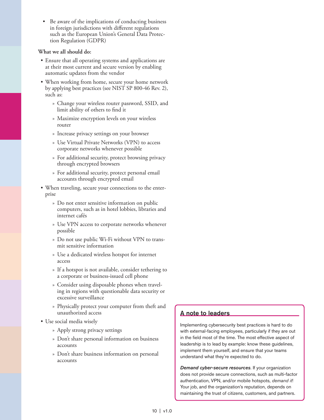Be aware of the implications of conducting business in foreign jurisdictions with different regulations such as the European Union's General Data Protection Regulation (GDPR)

#### **What we all should do:**

- Ensure that all operating systems and applications are at their most current and secure version by enabling automatic updates from the vendor
- When working from home, secure your home network by applying best practices (see NIST SP 800-46 Rev. 2), such as:
	- » Change your wireless router password, SSID, and limit ability of others to find it
	- » Maximize encryption levels on your wireless router
	- » Increase privacy settings on your browser
	- » Use Virtual Private Networks (VPN) to access corporate networks whenever possible
	- » For additional security, protect browsing privacy through encrypted browsers
	- » For additional security, protect personal email accounts through encrypted email
- When traveling, secure your connections to the enterprise
	- » Do not enter sensitive information on public computers, such as in hotel lobbies, libraries and internet cafés
	- » Use VPN access to corporate networks whenever possible
	- » Do not use public Wi-Fi without VPN to transmit sensitive information
	- » Use a dedicated wireless hotspot for internet access
	- » If a hotspot is not available, consider tethering to a corporate or business-issued cell phone
	- » Consider using disposable phones when traveling in regions with questionable data security or excessive surveillance
	- » Physically protect your computer from theft and unauthorized access
- Use social media wisely
	- » Apply strong privacy settings
	- » Don't share personal information on business accounts
	- » Don't share business information on personal accounts

#### A note to leaders

Implementing cybersecurity best practices is hard to do with external-facing employees, particularly if they are out in the field most of the time. The most effective aspect of leadership is to lead by example: know these guidelines, implement them yourself, and ensure that your teams understand what they're expected to do.

*Demand cyber-secure resources*. If your organization does not provide secure connections, such as multi-factor authentication, VPN, and/or mobile hotspots, *demand it*! Your job, and the organization's reputation, depends on maintaining the trust of citizens, customers, and partners.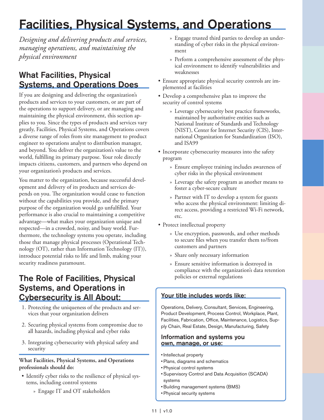## <span id="page-10-0"></span>Facilities, Physical Systems, and Operations

*Designing and delivering products and services, managing operations, and maintaining the physical environment*

## What Facilities, Physical Systems, and Operations Does

If you are designing and delivering the organization's products and services to your customers, or are part of the operations to support delivery, or are managing and maintaining the physical environment, this section applies to you. Since the types of products and services vary greatly, Facilities, Physical Systems, and Operations covers a diverse range of roles from site management to product engineer to operations analyst to distribution manager, and beyond. You deliver the organization's value to the world, fulfilling its primary purpose. Your role directly impacts citizens, customers, and partners who depend on your organization's products and services.

You matter to the organization, because successful development and delivery of its products and services depends on you. The organization would cease to function without the capabilities you provide, and the primary purpose of the organization would go unfulfilled. Your performance is also crucial to maintaining a competitive advantage—what makes your organization unique and respected—in a crowded, noisy, and busy world. Furthermore, the technology systems you operate, including those that manage physical processes (Operational Technology (OT), rather than Information Technology (IT)), introduce potential risks to life and limb, making your security readiness paramount.

## The Role of Facilities, Physical Systems, and Operations in Cybersecurity is All About:

- 1. Protecting the uniqueness of the products and services that your organization delivers
- 2. Securing physical systems from compromise due to all hazards, including physical and cyber risks
- 3. Integrating cybersecurity with physical safety and security

#### **What Facilities, Physical Systems, and Operations professionals should do:**

- Identify cyber risks to the resilience of physical systems, including control systems
	- » Engage IT and OT stakeholders
- » Engage trusted third parties to develop an understanding of cyber risks in the physical environment
- » Perform a comprehensive assessment of the physical environment to identify vulnerabilities and weaknesses
- Ensure appropriate physical security controls are implemented at facilities
- Develop a comprehensive plan to improve the security of control systems
	- » Leverage cybersecurity best practice frameworks, maintained by authoritative entities such as National Institute of Standards and Technology (NIST), Center for Internet Security (CIS), International Organization for Standardization (ISO), and ISA99
- Incorporate cybersecurity measures into the safety program
	- » Ensure employee training includes awareness of cyber risks in the physical environment
	- » Leverage the safety program as another means to foster a cyber-secure culture
	- » Partner with IT to develop a system for guests who access the physical environment: limiting direct access, providing a restricted Wi-Fi network, etc.
- Protect intellectual property
	- » Use encryption, passwords, and other methods to secure files when you transfer them to/from customers and partners
	- » Share only necessary information
	- » Ensure sensitive information is destroyed in compliance with the organization's data retention policies or external regulations

#### Your title includes words like:

Operations, Delivery, Consultant, Services, Engineering, Product Development, Process Control, Workplace, Plant, Facilities, Fabrication, Office, Maintenance, Logistics, Supply Chain, Real Estate, Design, Manufacturing, Safety

- Intellectual property
- Plans, diagrams and schematics
- Physical control systems
- Supervisory Control and Data Acquisition (SCADA) systems
- •Building management systems (BMS)
- Physical security systems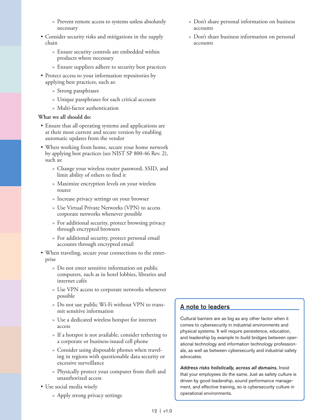- » Prevent remote access to systems unless absolutely necessary
- Consider security risks and mitigations in the supply chain
	- » Ensure security controls are embedded within products where necessary
	- » Ensure suppliers adhere to security best practices
- Protect access to your information repositories by applying best practices, such as:
	- » Strong passphrases
	- » Unique passphrases for each critical account
	- » Multi-factor authentication

#### **What we all should do:**

- Ensure that all operating systems and applications are at their most current and secure version by enabling automatic updates from the vendor
- When working from home, secure your home network by applying best practices (see NIST SP 800-46 Rev. 2), such as:
	- » Change your wireless router password, SSID, and limit ability of others to find it
	- » Maximize encryption levels on your wireless router
	- » Increase privacy settings on your browser
	- » Use Virtual Private Networks (VPN) to access corporate networks whenever possible
	- » For additional security, protect browsing privacy through encrypted browsers
	- » For additional security, protect personal email accounts through encrypted email
- When traveling, secure your connections to the enterprise
	- » Do not enter sensitive information on public computers, such as in hotel lobbies, libraries and internet cafés
	- » Use VPN access to corporate networks whenever possible
	- » Do not use public Wi-Fi without VPN to transmit sensitive information
	- » Use a dedicated wireless hotspot for internet access
	- » If a hotspot is not available, consider tethering to a corporate or business-issued cell phone
	- » Consider using disposable phones when traveling in regions with questionable data security or excessive surveillance
	- » Physically protect your computer from theft and unauthorized access
- Use social media wisely
	- » Apply strong privacy settings
- » Don't share personal information on business accounts
- » Don't share business information on personal accounts

#### A note to leaders

Cultural barriers are as big as any other factor when it comes to cybersecurity in industrial environments and physical systems. It will require persistence, education, and leadership by example to build bridges between operational technology and information technology professionals, as well as between cybersecurity and industrial safety advocates.

*Address risks holistically, across all domains.* Insist that your employees do the same. Just as safety culture is driven by good leadership, sound performance management, and effective training, so is cybersecurity culture in operational environments.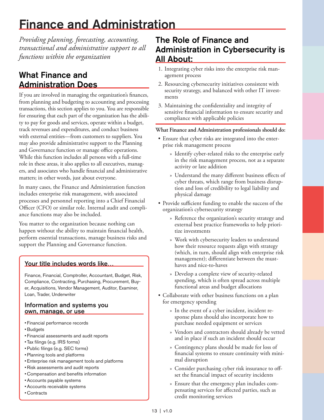## <span id="page-12-0"></span>Finance and Administration

*Providing planning, forecasting, accounting, transactional and administrative support to all functions within the organization*

## What Finance and Administration Does

If you are involved in managing the organization's finances, from planning and budgeting to accounting and processing transactions, this section applies to you. You are responsible for ensuring that each part of the organization has the ability to pay for goods and services, operate within a budget, track revenues and expenditures, and conduct business with external entities—from customers to suppliers. You may also provide administrative support to the Planning and Governance function or manage office operations. While this function includes all persons with a full-time role in these areas, it also applies to all executives, managers, and associates who handle financial and administrative matters; in other words, just about everyone.

In many cases, the Finance and Administration function includes enterprise risk management, with associated processes and personnel reporting into a Chief Financial Officer (CFO) or similar role. Internal audit and compliance functions may also be included.

You matter to the organization because nothing can happen without the ability to maintain financial health, perform essential transactions, manage business risks and support the Planning and Governance function.

#### Your title includes words like…

Finance, Financial, Comptroller, Accountant, Budget, Risk, Compliance, Contracting, Purchasing, Procurement, Buyer, Acquisitions, Vendor Management, Auditor, Examiner, Loan, Trader, Underwriter

#### Information and systems you own, manage, or use

- Financial performance records
- •Budgets
- Financial assessments and audit reports
- Tax filings (e.g. IRS forms)
- Public filings (e.g. SEC forms)
- Planning tools and platforms
- Enterprise risk management tools and platforms
- Risk assessments and audit reports
- Compensation and benefits information
- Accounts payable systems
- Accounts receivable systems
- Contracts

## The Role of Finance and Administration in Cybersecurity is All About:

- 1. Integrating cyber risks into the enterprise risk management process
- 2. Resourcing cybersecurity initiatives consistent with security strategy, and balanced with other IT investments
- 3. Maintaining the confidentiality and integrity of sensitive financial information to ensure security and compliance with applicable policies

#### **What Finance and Administration professionals should do:**

- Ensure that cyber risks are integrated into the enterprise risk management process
	- » Identify cyber-related risks to the enterprise early in the risk management process, not as a separate activity or late addition
	- » Understand the many different business effects of cyber threats, which range from business disruption and loss of credibility to legal liability and physical damage
- Provide sufficient funding to enable the success of the organization's cybersecurity strategy
	- » Reference the organization's security strategy and external best practice frameworks to help prioritize investments
	- » Work with cybersecurity leaders to understand how their resource requests align with strategy (which, in turn, should align with enterprise risk management); differentiate between the musthaves and nice-to-haves
	- » Develop a complete view of security-related spending, which is often spread across multiple functional areas and budget allocations
- Collaborate with other business functions on a plan for emergency spending
	- » In the event of a cyber incident, incident response plans should also incorporate how to purchase needed equipment or services
	- » Vendors and contractors should already be vetted and in place if such an incident should occur
	- » Contingency plans should be made for loss of financial systems to ensure continuity with minimal disruption
	- » Consider purchasing cyber risk insurance to offset the financial impact of security incidents
	- » Ensure that the emergency plan includes compensating services for affected parties, such as credit monitoring services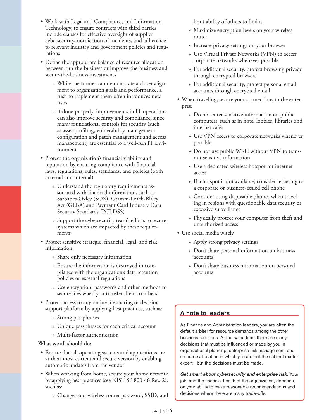• Work with Legal and Compliance, and Information Technology, to ensure contracts with third parties include clauses for effective oversight of supplier cybersecurity, notification of incidents, and adherence to relevant industry and government policies and regulations

• Define the appropriate balance of resource allocation between run-the-business or improve-the-business and secure-the-business investments

- » While the former can demonstrate a closer alignment to organization goals and performance, a rush to implement them often introduces new risks
- » If done properly, improvements in IT operations can also improve security and compliance, since many foundational controls for security (such as asset profiling, vulnerability management, configuration and patch management and access management) are essential to a well-run IT environment
- Protect the organization's financial viability and reputation by ensuring compliance with financial laws, regulations, rules, standards, and policies (both external and internal)
	- » Understand the regulatory requirements associated with financial information, such as Sarbanes-Oxley (SOX), Gramm-Leach-Bliley Act (GLBA) and Payment Card Industry Data Security Standards (PCI DSS)
	- » Support the cybersecurity team's efforts to secure systems which are impacted by these requirements
- Protect sensitive strategic, financial, legal, and risk information
	- » Share only necessary information
	- » Ensure the information is destroyed in compliance with the organization's data retention policies or external regulations
	- » Use encryption, passwords and other methods to secure files when you transfer them to others
- Protect access to any online file sharing or decision support platform by applying best practices, such as:
	- » Strong passphrases
	- » Unique passphrases for each critical account
	- » Multi-factor authentication

#### **What we all should do:**

- Ensure that all operating systems and applications are at their most current and secure version by enabling automatic updates from the vendor
- When working from home, secure your home network by applying best practices (see NIST SP 800-46 Rev. 2), such as:
	- » Change your wireless router password, SSID, and

limit ability of others to find it

- » Maximize encryption levels on your wireless router
- » Increase privacy settings on your browser
- » Use Virtual Private Networks (VPN) to access corporate networks whenever possible
- » For additional security, protect browsing privacy through encrypted browsers
- » For additional security, protect personal email accounts through encrypted email
- When traveling, secure your connections to the enterprise
	- » Do not enter sensitive information on public computers, such as in hotel lobbies, libraries and internet cafés
	- » Use VPN access to corporate networks whenever possible
	- » Do not use public Wi-Fi without VPN to transmit sensitive information
	- » Use a dedicated wireless hotspot for internet access
	- » If a hotspot is not available, consider tethering to a corporate or business-issued cell phone
	- » Consider using disposable phones when traveling in regions with questionable data security or excessive surveillance
	- » Physically protect your computer from theft and unauthorized access
- Use social media wisely
	- » Apply strong privacy settings
	- » Don't share personal information on business accounts
	- » Don't share business information on personal accounts

#### A note to leaders

As Finance and Administration leaders, you are often the default arbiter for resource demands among the other business functions. At the same time, there are many decisions that must be influenced or made by you in organizational planning, enterprise risk management, and resource allocation in which you are not the subject matter expert—but the decisions must be made.

*Get smart about cybersecurity and enterprise risk.* Your job, and the financial health of the organization, depends on your ability to make reasonable recommendations and decisions where there are many trade-offs.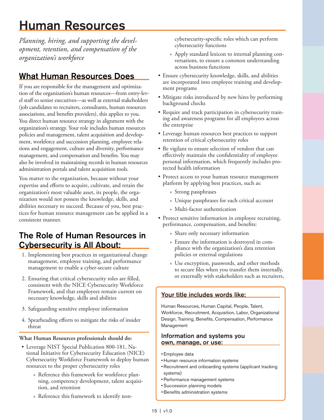## <span id="page-14-0"></span>Human Resources

*Planning, hiring, and supporting the development, retention, and compensation of the organization's workforce* 

## What Human Resources Does

If you are responsible for the management and optimization of the organization's human resources—from entry-level staff to senior executives—as well as external stakeholders (job candidates to recruiters, consultants, human resources associations, and benefits providers), this applies to you. You direct human resource strategy in alignment with the organization's strategy. Your role includes human resources policies and management, talent acquisition and development, workforce and succession planning, employee relations and engagement, culture and diversity, performance management, and compensation and benefits. You may also be involved in maintaining records in human resources administration portals and talent acquisition tools.

You matter to the organization, because without your expertise and efforts to acquire, cultivate, and retain the organization's most valuable asset, its people, the organization would not possess the knowledge, skills, and abilities necessary to succeed. Because of you, best practices for human resource management can be applied in a consistent manner.

### The Role of Human Resources in Cybersecurity is All About:

- 1. Implementing best practices in organizational change management, employee training, and performance management to enable a cyber-secure culture
- 2. Ensuring that critical cybersecurity roles are filled, consistent with the NICE Cybersecurity Workforce Framework, and that employees remain current on necessary knowledge, skills and abilities
- 3. Safeguarding sensitive employee information
- 4. Spearheading efforts to mitigate the risks of insider threat

#### **What Human Resources professionals should do:**

- Leverage NIST Special Publication 800-181, National Initiative for Cybersecurity Education (NICE) Cybersecurity Workforce Framework to deploy human resources to the proper cybersecurity roles
	- » Reference this framework for workforce planning, competency development, talent acquisition, and retention
	- » Reference this framework to identify non-

cybersecurity-specific roles which can perform cybersecurity functions

- » Apply standard lexicon to internal planning conversations, to ensure a common understanding across business functions
- Ensure cybersecurity knowledge, skills, and abilities are incorporated into employee training and development programs
- Mitigate risks introduced by new hires by performing background checks
- Require and track participation in cybersecurity training and awareness programs for all employees across the enterprise
- Leverage human resources best practices to support retention of critical cybersecurity roles
- Be vigilant to ensure selection of vendors that can effectively maintain the confidentiality of employee personal information, which frequently includes protected health information
- Protect access to your human resource management platform by applying best practices, such as:
	- » Strong passphrases
	- » Unique passphrases for each critical account
	- » Multi-factor authentication
- Protect sensitive information in employee recruiting, performance, compensation, and benefits:
	- » Share only necessary information
	- » Ensure the information is destroyed in compliance with the organization's data retention policies or external regulations
	- » Use encryption, passwords, and other methods to secure files when you transfer them internally, or externally with stakeholders such as recruiters,

#### Your title includes words like:

Human Resources, Human Capital, People, Talent, Workforce, Recruitment, Acquisition, Labor, Organizational Design, Training, Benefits, Compensation, Performance Management

- Employee data
- Human resource information systems
- Recruitment and onboarding systems (applicant tracking systems)
- Performance management systems
- Succession planning models
- •Benefits administration systems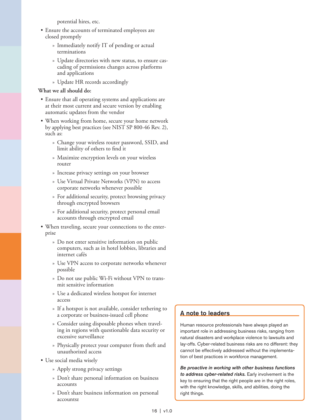potential hires, etc.

- Ensure the accounts of terminated employees are closed promptly
	- » Immediately notify IT of pending or actual terminations
	- » Update directories with new status, to ensure cascading of permissions changes across platforms and applications
	- » Update HR records accordingly

#### **What we all should do:**

- Ensure that all operating systems and applications are at their most current and secure version by enabling automatic updates from the vendor
- When working from home, secure your home network by applying best practices (see NIST SP 800-46 Rev. 2), such as:
	- » Change your wireless router password, SSID, and limit ability of others to find it
	- » Maximize encryption levels on your wireless router
	- » Increase privacy settings on your browser
	- » Use Virtual Private Networks (VPN) to access corporate networks whenever possible
	- » For additional security, protect browsing privacy through encrypted browsers
	- » For additional security, protect personal email accounts through encrypted email
- When traveling, secure your connections to the enterprise
	- » Do not enter sensitive information on public computers, such as in hotel lobbies, libraries and internet cafés
	- » Use VPN access to corporate networks whenever possible
	- » Do not use public Wi-Fi without VPN to transmit sensitive information
	- » Use a dedicated wireless hotspot for internet access
	- » If a hotspot is not available, consider tethering to a corporate or business-issued cell phone
	- » Consider using disposable phones when traveling in regions with questionable data security or excessive surveillance
	- » Physically protect your computer from theft and unauthorized access
- Use social media wisely
	- » Apply strong privacy settings
	- » Don't share personal information on business accounts
	- » Don't share business information on personal accountsz

#### A note to leaders

Human resource professionals have always played an important role in addressing business risks, ranging from natural disasters and workplace violence to lawsuits and lay-offs. Cyber-related business risks are no different: they cannot be effectively addressed without the implementation of best practices in workforce management.

*Be proactive in working with other business functions to address cyber-related risks.* Early involvement is the key to ensuring that the right people are in the right roles, with the right knowledge, skills, and abilities, doing the right things.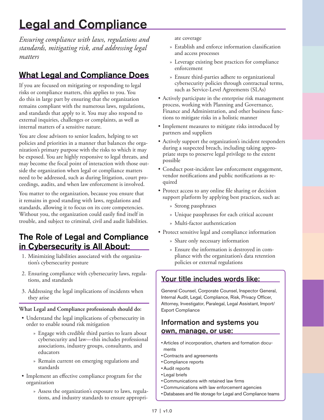## <span id="page-16-0"></span>Legal and Compliance

*Ensuring compliance with laws, regulations and standards, mitigating risk, and addressing legal matters*

## What Legal and Compliance Does

If you are focused on mitigating or responding to legal risks or compliance matters, this applies to you. You do this in large part by ensuring that the organization remains compliant with the numerous laws, regulations, and standards that apply to it. You may also respond to external inquiries, challenges or complaints, as well as internal matters of a sensitive nature.

You are close advisors to senior leaders, helping to set policies and priorities in a manner that balances the organization's primary purpose with the risks to which it may be exposed. You are highly responsive to legal threats, and may become the focal point of interaction with those outside the organization when legal or compliance matters need to be addressed, such as during litigation, court proceedings, audits, and when law enforcement is involved.

You matter to the organization, because you ensure that it remains in good standing with laws, regulations and standards, allowing it to focus on its core competencies. Without you, the organization could easily find itself in trouble, and subject to criminal, civil and audit liabilities.

## The Role of Legal and Compliance in Cybersecurity is All About:

- 1. Minimizing liabilities associated with the organization's cybersecurity posture
- 2. Ensuring compliance with cybersecurity laws, regulations, and standards
- 3. Addressing the legal implications of incidents when they arise

#### **What Legal and Compliance professionals should do:**

- Understand the legal implications of cybersecurity in order to enable sound risk mitigation
	- » Engage with credible third parties to learn about cybersecurity and law—this includes professional associations, industry groups, consultants, and educators
	- » Remain current on emerging regulations and standards
- Implement an effective compliance program for the organization
	- » Assess the organization's exposure to laws, regulations, and industry standards to ensure appropri-

ate coverage

- » Establish and enforce information classification and access processes
- » Leverage existing best practices for compliance enforcement
- » Ensure third-parties adhere to organizational cybersecurity policies through contractual terms, such as Service-Level Agreements (SLAs)
- Actively participate in the enterprise risk management process, working with Planning and Governance, Finance and Administration, and other business functions to mitigate risks in a holistic manner
- Implement measures to mitigate risks introduced by partners and suppliers
- Actively support the organization's incident responders during a suspected breach, including taking appropriate steps to preserve legal privilege to the extent possible
- Conduct post-incident law enforcement engagement, vendor notifications and public notifications as required
- Protect access to any online file sharing or decision support platform by applying best practices, such as:
	- » Strong passphrases
	- » Unique passphrases for each critical account
	- » Multi-factor authentication
- Protect sensitive legal and compliance information
	- » Share only necessary information
	- » Ensure the information is destroyed in compliance with the organization's data retention policies or external regulations

### Your title includes words like:

General Counsel, Corporate Counsel, Inspector General, Internal Audit, Legal, Compliance, Risk, Privacy Officer, Attorney, Investigator, Paralegal, Legal Assistant, Import/ Export Compliance

- Articles of incorporation, charters and formation documents
- Contracts and agreements
- Compliance reports
- Audit reports
- Legal briefs
- Communications with retained law firms
- Communications with law enforcement agencies
- Databases and file storage for Legal and Compliance teams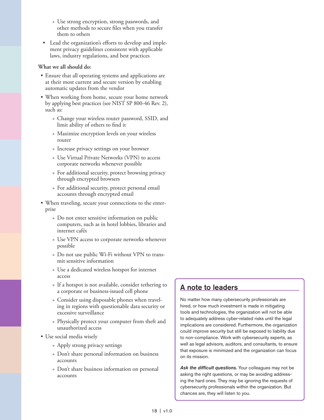- » Use strong encryption, strong passwords, and other methods to secure files when you transfer them to others
- Lead the organization's efforts to develop and implement privacy guidelines consistent with applicable laws, industry regulations, and best practices

#### **What we all should do:**

- Ensure that all operating systems and applications are at their most current and secure version by enabling automatic updates from the vendor
- When working from home, secure your home network by applying best practices (see NIST SP 800-46 Rev. 2), such as:
	- » Change your wireless router password, SSID, and limit ability of others to find it
	- » Maximize encryption levels on your wireless router
	- » Increase privacy settings on your browser
	- » Use Virtual Private Networks (VPN) to access corporate networks whenever possible
	- » For additional security, protect browsing privacy through encrypted browsers
	- » For additional security, protect personal email accounts through encrypted email
- When traveling, secure your connections to the enterprise
	- » Do not enter sensitive information on public computers, such as in hotel lobbies, libraries and internet cafés
	- » Use VPN access to corporate networks whenever possible
	- » Do not use public Wi-Fi without VPN to transmit sensitive information
	- » Use a dedicated wireless hotspot for internet access
	- » If a hotspot is not available, consider tethering to a corporate or business-issued cell phone
	- » Consider using disposable phones when traveling in regions with questionable data security or excessive surveillance
	- » Physically protect your computer from theft and unauthorized access
- Use social media wisely
	- » Apply strong privacy settings
	- » Don't share personal information on business accounts
	- » Don't share business information on personal accounts

#### A note to leaders

No matter how many cybersecurity professionals are hired, or how much investment is made in mitigating tools and technologies, the organization will not be able to adequately address cyber-related risks until the legal implications are considered. Furthermore, the organization could improve security but still be exposed to liability due to non-compliance. Work with cybersecurity experts, as well as legal advisors, auditors, and consultants, to ensure that exposure is minimized and the organization can focus on its mission.

Ask the difficult questions. Your colleagues may not be asking the right questions, or may be avoiding addressing the hard ones. They may be ignoring the requests of cybersecurity professionals within the organization. But chances are, they will listen to you.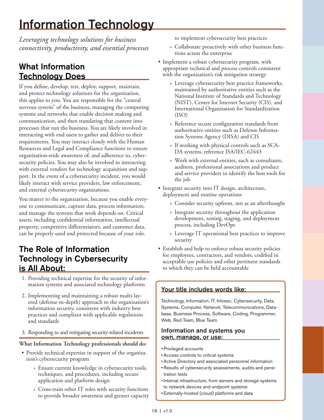## <span id="page-18-0"></span>Information Technology

*Leveraging technology solutions for business connectivity, productivity, and essential processes*

## What Information Technology Does

If you define, develop, test, deploy, support, maintain, and protect technology solutions for the organization, this applies to you. You are responsible for the "central nervous system" of the business, managing the computing systems and networks that enable decision making and communication, and then translating that content into processes that run the business. You are likely involved in interacting with end users to gather and deliver to their requirements. You may interact closely with the Human Resources and Legal and Compliance functions to ensure organization-wide awareness of, and adherence to, cybersecurity policies. You may also be involved in interacting with external vendors for technology acquisition and support. In the event of a cybersecurity incident, you would likely interact with service providers, law enforcement, and external cybersecurity organizations.

You matter to the organization, because you enable everyone to communicate, capture data, process information, and manage the systems that work depends on. Critical assets, including confidential information, intellectual property, competitive differentiators, and customer data, can be properly used and protected because of your role.

### The Role of Information Technology in Cybersecurity is All About:

- 1. Providing technical expertise for the security of information systems and associated technology platforms
- 2. Implementing and maintaining a robust multi-layered (defense-in-depth) approach to the organization's information security, consistent with industry best practices and compliant with applicable regulations and standards
- 3. Responding to and mitigating security-related incidents

#### **What Information Technology professionals should do:**

- Provide technical expertise in support of the organization's cybersecurity program
	- » Ensure current knowledge in cybersecurity tools, techniques, and procedures, including secure application and platform design
	- » Cross-train other IT roles with security functions to provide broader awareness and greater capacity

to implement cybersecurity best practices

- » Collaborate proactively with other business functions across the enterprise
- Implement a robust cybersecurity program, with appropriate technical and process controls consistent with the organization's risk mitigation strategy
	- » Leverage cybersecurity best practice frameworks, maintained by authoritative entities such as the National Institute of Standards and Technology (NIST), Center for Internet Security (CIS), and International Organization for Standardization (ISO)
	- » Reference secure configuration standards from authoritative entities such as Defense Information Systems Agency (DISA) and CIS
	- » If working with physical controls such as SCA-DA systems, reference ISA/IEC-62443
	- » Work with external entities, such as consultants, auditors, professional associations and product and service providers to identify the best tools for the job
- Integrate security into IT design, architecture, deployment and routine operations
	- » Consider security upfront, not as an afterthought
	- » Integrate security throughout the application development, testing, staging, and deployment process, including DevOps
	- » Leverage IT operational best practices to improve security
- Establish and help to enforce robust security policies for employees, contractors, and vendors, codified in acceptable use policies and other pertinent standards to which they can be held accountable

#### Your title includes words like:

Technology, Information, IT, Infosec, Cybersecurity, Data, Systems, Computer, Network, Telecommunications, Database, Business Process, Software, Coding, Programmer, Web, Red Team, Blue Team

- Privileged accounts
- Access controls to critical systems
- Active Directory and associated personnel information
- Results of cybersecurity assessments, audits and penetration tests
- Internal infrastructure, from servers and storage systems to network devices and endpoint systems
- Externally-hosted (cloud) platforms and data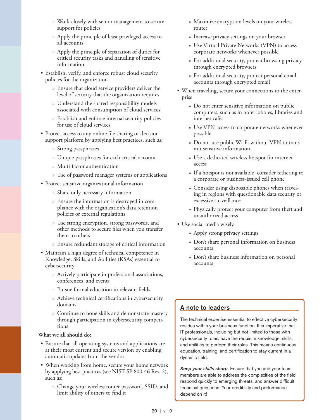- » Work closely with senior management to secure support for policies
- » Apply the principle of least privileged access to all accounts
- » Apply the principle of separation of duties for critical security tasks and handling of sensitive information
- Establish, verify, and enforce robust cloud security policies for the organization
	- » Ensure that cloud service providers deliver the level of security that the organization requires
	- » Understand the shared responsibility models associated with consumption of cloud services
	- » Establish and enforce internal security policies for use of cloud services
- Protect access to any online file sharing or decision support platform by applying best practices, such as:
	- » Strong passphrases
	- » Unique passphrases for each critical account
	- » Multi-factor authentication
	- » Use of password manager systems or applications
- Protect sensitive organizational information
	- » Share only necessary information
	- » Ensure the information is destroyed in compliance with the organization's data retention policies or external regulations
	- » Use strong encryption, strong passwords, and other methods to secure files when you transfer them to others
	- » Ensure redundant storage of critical information
- Maintain a high degree of technical competence in Knowledge, Skills, and Abilities (KSAs) essential to cybersecurity
	- » Actively participate in professional associations, conferences, and events
	- » Pursue formal education in relevant fields
	- » Achieve technical certifications in cybersecurity domains
	- » Continue to hone skills and demonstrate mastery through participation in cybersecurity competitions

#### **What we all should do:**

- Ensure that all operating systems and applications are at their most current and secure version by enabling automatic updates from the vendor
- When working from home, secure your home network by applying best practices (see NIST SP 800-46 Rev. 2), such as:
	- » Change your wireless router password, SSID, and limit ability of others to find it
- » Maximize encryption levels on your wireless router
- » Increase privacy settings on your browser
- » Use Virtual Private Networks (VPN) to access corporate networks whenever possible
- » For additional security, protect browsing privacy through encrypted browsers
- » For additional security, protect personal email accounts through encrypted email
- When traveling, secure your connections to the enterprise
	- » Do not enter sensitive information on public computers, such as in hotel lobbies, libraries and internet cafés
	- » Use VPN access to corporate networks whenever possible
	- » Do not use public Wi-Fi without VPN to transmit sensitive information
	- » Use a dedicated wireless hotspot for internet access
	- » If a hotspot is not available, consider tethering to a corporate or business-issued cell phone
	- » Consider using disposable phones when traveling in regions with questionable data security or excessive surveillance
	- » Physically protect your computer from theft and unauthorized access
- Use social media wisely
	- » Apply strong privacy settings
	- » Don't share personal information on business accounts
	- » Don't share business information on personal accounts

#### A note to leaders

The technical expertise essential to effective cybersecurity resides within your business function. It is imperative that IT professionals, including but not limited to those with cybersecurity roles, have the requisite knowledge, skills, and abilities to perform their roles. This means continuous education, training, and certification to stay current in a dynamic field.

*Keep your skills sharp.* Ensure that you and your team members are able to address the complexities of the field, respond quickly to emerging threats, and answer difficult technical questions. Your credibility and performance depend on it!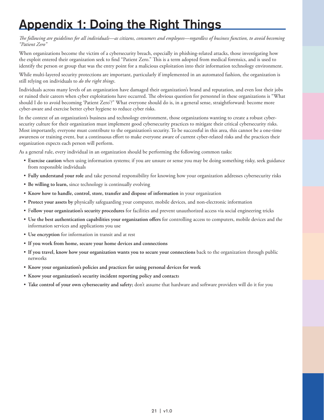## <span id="page-20-0"></span>Appendix 1: Doing the Right Things

*The following are guidelines for all individuals—as citizens, consumers and employees—regardless of business function, to avoid becoming "Patient Zero"*

When organizations become the victim of a cybersecurity breach, especially in phishing-related attacks, those investigating how the exploit entered their organization seek to find "Patient Zero." This is a term adopted from medical forensics, and is used to identify the person or group that was the entry point for a malicious exploitation into their information technology environment.

While multi-layered security protections are important, particularly if implemented in an automated fashion, the organization is still relying on individuals to *do the right things*.

Individuals across many levels of an organization have damaged their organization's brand and reputation, and even lost their jobs or ruined their careers when cyber exploitations have occurred. The obvious question for personnel in these organizations is "What should I do to avoid becoming 'Patient Zero'?" What everyone should do is, in a general sense, straightforward: become more cyber-aware and exercise better cyber hygiene to reduce cyber risks.

In the context of an organization's business and technology environment, those organizations wanting to create a robust cybersecurity culture for their organization must implement good cybersecurity practices to mitigate their critical cybersecurity risks. Most importantly, everyone must contribute to the organization's security. To be successful in this area, this cannot be a one-time awareness or training event, but a continuous effort to make everyone aware of current cyber-related risks and the practices their organization expects each person will perform.

As a general rule, every individual in an organization should be performing the following common tasks:

- **Exercise caution** when using information systems; if you are unsure or sense you may be doing something risky, seek guidance from responsible individuals
- **Fully understand your role** and take personal responsibility for knowing how your organization addresses cybersecurity risks
- **Be willing to learn,** since technology is continually evolving
- **Know how to handle, control, store, transfer and dispose of information** in your organization
- **Protect your assets by** physically safeguarding your computer, mobile devices, and non-electronic information
- F**ollow your organization's security procedures** for facilities and prevent unauthorized access via social engineering tricks
- **Use the best authentication capabilities your organization offers** for controlling access to computers, mobile devices and the information services and applications you use
- **Use encryption** for information in transit and at rest
- **If you work from home, secure your home devices and connections**
- **If you travel, know how your organization wants you to secure your connections** back to the organization through public networks
- **Know your organization's policies and practices for using personal devices for work**
- **Know your organization's security incident reporting policy and contact**s
- **Take control of your own cybersecurity and safety;** don't assume that hardware and software providers will do it for you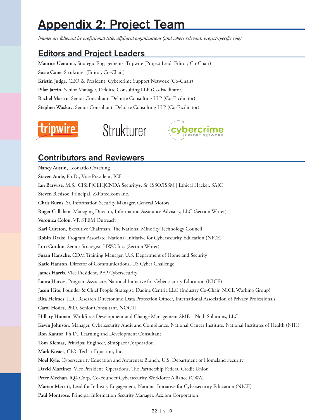## <span id="page-21-0"></span>Appendix 2: Project Team

*Names are followed by professional title, affiliated organizations (and where relevant, project-specific role)*

### Editors and Project Leaders

**[Maurice Uenuma](https://www.linkedin.com/in/uenuma/)**, Strategic Engagements, Tripwire (Project Lead; Editor; Co-Chair) **[Susie Cone](https://www.linkedin.com/in/susiecone/)**, Strukturer (Editor, Co-Chair) **[Kristin Judge](https://www.dellemc.com/en-us/ data-protection/solutions.htm#dropdown0=0)**, CEO & President, Cybercrime Support Network (Co-Chair) **Pilar Jarrin**, Senior Manager, Deloitte Consulting LLP (Co-Facilitator) **Rachel Mastro**, Senior Consultant, Deloitte Consulting LLP (Co-Facilitator) **Stephen Woskov**, Senior Consultant, Deloitte Consulting LLP (Co-Facilitator)







### Contributors and Reviewers

**Nancy Austin**, Leonardo Coaching **Steven Aude**, Ph.D., Vice President, ICF **Ian Barwise**, M.S., CISSP|CEH|CNDA|Security+, Sr. ISSO/ISSM | Ethical Hacker, SAIC **Steven Bledsoe**, Principal, Z-Rated.com Inc. **Chris Burns**, Sr. Information Security Manager, General Motors **Roger Callahan**, Managing Director, Information Assurance Advisory, LLC (Section Writer) **Veronica Colon**, VP, STEM Outreach **Karl Cureton**, Executive Chairman, The National Minority Technology Council **Robin Drake**, Program Associate, National Initiative for Cybersecurity Education (NICE) **Lori Gordon**, Senior Strategist, HWC Inc. (Section Writer) **Susan Hansche**, CDM Training Manager, U.S. Department of Homeland Security **Katie Hanson**, Director of Communications, US Cyber Challenge **James Harris**, Vice President, PFP Cybersecurity **Laura Hatzes**, Program Associate, National Initiative for Cybersecurity Education (NICE) **Jason Hite**, Founder & Chief People Strategist, Daoine Centric LLC (Industry Co-Chair, NICE Working Group) **Rita Heimes**, J.D., Research Director and Data Protection Officer, International Association of Privacy Professionals **Carol Hodes**, PhD, Senior Consultant, NOCTI **Hillary Homan**, Workforce Development and Change Management SME—Nodi Solutions, LLC **Kevin Johnson**, Manager, Cybersecurity Audit and Compliance, National Cancer Institute, National Institutes of Health (NIH) **Ron Kantor**, Ph.D., Learning and Development Consultant **Tom Klemas**, Principal Engineer, SimSpace Corporation **Mark Kosier**, CIO, Tech + Equation, Inc. **Noel Kyle**, Cybersecurity Education and Awareness Branch, U.S. Department of Homeland Security **David Martinez**, Vice President, Operations, The Partnership Federal Credit Union **Peter Meehan**, iQ4 Corp, Co-Founder Cybersecurity Workforce Alliance (CWA) **Marian Merritt**, Lead for Industry Engagement, National Initiative for Cybersecurity Education (NICE) **Paul Montrose**, Principal Information Security Manager, Acxiom Corporation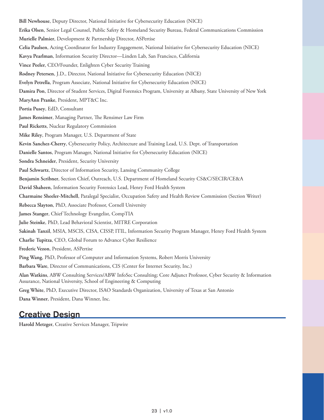**Bill Newhouse**, Deputy Director, National Initiative for Cybersecurity Education (NICE) **Erika Olsen**, Senior Legal Counsel, Public Safety & Homeland Security Bureau, Federal Communications Commission **Murielle Palmier**, Development & Partnership Director, ASPertise **Celia Paulsen**, Acting Coordinator for Industry Engagement, National Initiative for Cybersecurity Education (NICE) **Kavya Pearlman**, Information Security Director—Linden Lab, San Francisco, California **Vince Peeler**, CEO/Founder, Enlighten Cyber Security Training **Rodney Petersen**, J.D., Director, National Initiative for Cybersecurity Education (NICE) **Evelyn Petrella**, Program Associate, National Initiative for Cybersecurity Education (NICE) **Damira Pon**, Director of Student Services, Digital Forensics Program, University at Albany, State University of New York **MaryAnn Pranke**, President, MPT&C Inc. **Portia Pusey**, EdD, Consultant **James Rensimer**, Managing Partner, The Rensimer Law Firm **Paul Ricketts**, Nuclear Regulatory Commission **Mike Riley**, Program Manager, U.S. Department of State **Kevin Sanchez-Cherry**, Cybersecurity Policy, Architecture and Training Lead, U.S. Dept. of Transportation **Danielle Santos**, Program Manager, National Initiative for Cybersecurity Education (NICE) **Sondra Schneider**, President, Security University **Paul Schwartz**, Director of Information Security, Lansing Community College **Benjamin Scribner**, Section Chief, Outreach, U.S. Department of Homeland Security CS&C/SECIR/CE&A **David Shaheen**, Information Security Forensics Lead, Henry Ford Health System **Charmaine Sheeler-Mitchell**, Paralegal Specialist, Occupation Safety and Health Review Commission (Section Writer) **Rebecca Slayton**, PhD, Associate Professor, Cornell University **James Stanger**, Chief Technology Evangelist, CompTIA **Julie Steinke**, PhD, Lead Behavioral Scientist, MITRE Corporation **Sakinah Tanzil**, MSIA, MSCIS, CISA, CISSP, ITIL, Information Security Program Manager, Henry Ford Health System **Charlie Tupitza**, CEO, Global Forum to Advance Cyber Resilience **Frederic Vezon**, President, ASPertise **Ping Wang**, PhD, Professor of Computer and Information Systems, Robert Morris University **Barbara Ware**, Director of Communications, CIS (Center for Internet Security, Inc.) **Alan Watkins**, ABW Consulting Services/ABW InfoSec Consulting; Core Adjunct Professor, Cyber Security & Information Assurance, National University, School of Engineering & Computing **Greg White**, PhD, Executive Director, ISAO Standards Organization, University of Texas at San Antonio **Dana Winner**, President, Dana Winner, Inc.

### Creative Design

**Harold Metzger**, Creative Services Manager, Tripwire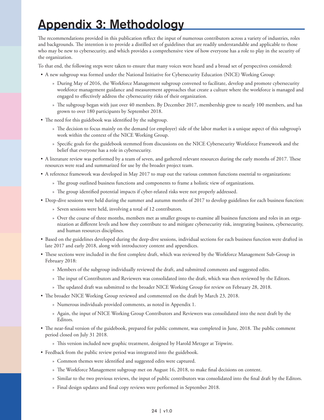## <span id="page-23-0"></span>Appendix 3: Methodology

The recommendations provided in this publication reflect the input of numerous contributors across a variety of industries, roles and backgrounds. The intention is to provide a distilled set of guidelines that are readily understandable and applicable to those who may be new to cybersecurity, and which provides a comprehensive view of how everyone has a role to play in the security of the organization.

To that end, the following steps were taken to ensure that many voices were heard and a broad set of perspectives considered:

- A new subgroup was formed under the National Initiative for Cybersecurity Education (NICE) Working Group:
	- » During May of 2016, the Workforce Management subgroup convened to facilitate, develop and promote cybersecurity workforce management guidance and measurement approaches that create a culture where the workforce is managed and engaged to effectively address the cybersecurity risks of their organization.
	- » The subgroup began with just over 40 members. By December 2017, membership grew to nearly 100 members, and has grown to over 180 participants by September 2018.
- The need for this guidebook was identified by the subgroup.
	- » The decision to focus mainly on the demand (or employer) side of the labor market is a unique aspect of this subgroup's work within the context of the NICE Working Group.
	- » Specific goals for the guidebook stemmed from discussions on the NICE Cybersecurity Workforce Framework and the belief that everyone has a role in cybersecurity.
- A literature review was performed by a team of seven, and gathered relevant resources during the early months of 2017. These resources were read and summarized for use by the broader project team.
- A reference framework was developed in May 2017 to map out the various common functions essential to organizations:
	- » The group outlined business functions and components to frame a holistic view of organizations.
	- » The group identified potential impacts if cyber-related risks were not properly addressed.
- Deep-dive sessions were held during the summer and autumn months of 2017 to develop guidelines for each business function:
	- » Seven sessions were held, involving a total of 12 contributors.
	- » Over the course of three months, members met as smaller groups to examine all business functions and roles in an organization at different levels and how they contribute to and mitigate cybersecurity risk, integrating business, cybersecurity, and human resources disciplines.
- Based on the guidelines developed during the deep-dive sessions, individual sections for each business function were drafted in late 2017 and early 2018, along with introductory content and appendices.
- These sections were included in the first complete draft, which was reviewed by the Workforce Management Sub-Group in February 2018:
	- » Members of the subgroup individually reviewed the draft, and submitted comments and suggested edits.
	- » The input of Contributors and Reviewers was consolidated into the draft, which was then reviewed by the Editors.
	- » The updated draft was submitted to the broader NICE Working Group for review on February 28, 2018.
- The broader NICE Working Group reviewed and commented on the draft by March 23, 2018.
	- » Numerous individuals provided comments, as noted in Appendix 1.
	- » Again, the input of NICE Working Group Contributors and Reviewers was consolidated into the next draft by the Editors.
- The near-final version of the guidebook, prepared for public comment, was completed in June, 2018. The public comment period closed on July 31 2018.
	- » This version included new graphic treatment, designed by Harold Metzger at Tripwire.
- Feedback from the public review period was integrated into the guidebook.
	- » Common themes were identified and suggested edits were captured.
	- » The Workforce Management subgroup met on August 16, 2018, to make final decisions on content.
	- » Similar to the two previous reviews, the input of public contributors was consolidated into the final draft by the Editors.
	- » Final design updates and final copy reviews were performed in September 2018.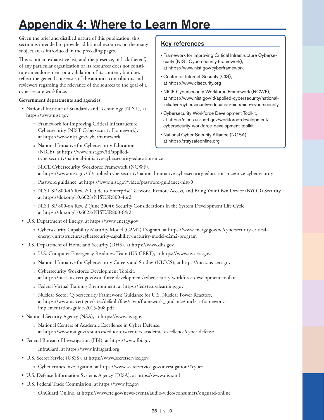## <span id="page-24-0"></span>Appendix 4: Where to Learn More

Given the brief and distilled nature of this publication, this section is intended to provide additional resources on the many subject areas introduced in the preceding pages.

This is not an exhaustive list, and the presence, or lack thereof, of any particular organization or its resources does not constitute an endorsement or a validation of its content, but does reflect the general consensus of the authors, contributors and reviewers regarding the relevance of the sources to the goal of a cyber-secure workforce.

#### **Government departments and agencies:**

- National Institute of Standards and Technology (NIST), at [https://www.nist.gov](https://www.nist.gov/)
	- » Framework for Improving Critical Infrastructure Cybersecurity (NIST Cybersecurity Framework), at <https://www.nist.gov/cyberframework>
	- » National Initiative for Cybersecurity Education (NICE), at [https://www.nist.gov/itl/applied](https://www.nist.gov/itl/applied-cybersecurity/national-initiative-cybersecurity-education-nice)[cybersecurity/national-initiative-cybersecurity-education-nice](https://www.nist.gov/itl/applied-cybersecurity/national-initiative-cybersecurity-education-nice)

#### Key references

- Framework for Improving Critical Infrastructure Cybersecurity (NIST Cybersecurity Framework), at<https://www.nist.gov/cyberframework>
- Center for Internet Security (CIS), at [https://www.cisecurity.org](https://www.cisecurity.org/)
- NICE Cybersecurity Workforce Framework (NCWF), at [https://www.nist.gov/itl/applied-cybersecurity/national](https://www.nist.gov/itl/applied-cybersecurity/national-initiative-cybersecurity-education-nice/nice-cybersecurity)[initiative-cybersecurity-education-nice/nice-cybersecurity](https://www.nist.gov/itl/applied-cybersecurity/national-initiative-cybersecurity-education-nice/nice-cybersecurity)
- Cybersecurity Workforce Development Toolkit, at [https://niccs.us-cert.gov/workforce-development/](https://niccs.us-cert.gov/workforce-development/cybersecurity-workforce-development-toolkit) [cybersecurity-workforce-development-toolkit](https://niccs.us-cert.gov/workforce-development/cybersecurity-workforce-development-toolkit)
- National Cyber Security Alliance (NCSA), at [https://staysafeonline.org](https://staysafeonline.org/)
- » NICE Cybersecurity Workforce Framework (NCWF), at <https://www.nist.gov/itl/applied-cybersecurity/national-initiative-cybersecurity-education-nice/nice-cybersecurity>
- » Password guidance, at <https://www.nist.gov/video/password-guidance-nist-0>
- » NIST SP 800-46 Rev. 2: Guide to Enterprise Telework, Remote Access, and Bring Your Own Device (BYOD) Security, at https://doi.org/10.6028/NIST.SP.800-46r2
- » NIST SP 800-64 Rev. 2 (June 2004): Security Considerations in the System Development Life Cycle, at https://doi.org/10.6028/NIST.SP.800-64r2
- U.S. Department of Energy, at https://www.energy.gov
	- » Cybersecurity Capability Maturity Model (C2M2) Program, at [https://www.energy.gov/oe/cybersecurity-critical](https://www.energy.gov/oe/cybersecurity-critical-energy-infrastructure/cybersecurity-capability-maturity-model-c2m2-program)[energy-infrastructure/cybersecurity-capability-maturity-model-c2m2-program](https://www.energy.gov/oe/cybersecurity-critical-energy-infrastructure/cybersecurity-capability-maturity-model-c2m2-program)
- U.S. Department of Homeland Security (DHS), at https://www.dhs.gov
	- » U.S. Computer Emergency Readiness Team (US-CERT), at [https://www.us-cert.gov](https://www.us-cert.gov/)
	- » National Initiative for Cybersecurity Careers and Studies (NICCS), at [https://niccs.us-cert.gov](https://niccs.us-cert.gov/)
	- » Cybersecurity Workforce Development Toolkit, at <https://niccs.us-cert.gov/workforce-development/cybersecurity-workforce-development-toolkit>
	- » Federal Virtual Training Environment, at [https://fedvte.usalearning.gov](https://fedvte.usalearning.gov/)
	- » Nuclear Sector Cybersecurity Framework Guidance for U.S. Nuclear Power Reactors, at [https://www.us-cert.gov/sites/default/files/c3vp/framework\\_guidance/nuclear-framework](https://www.us-cert.gov/sites/default/files/c3vp/framework_guidance/nuclear-framework-implementation-guide-2015-508.pdf)[implementation-guide-2015-508.pdf](https://www.us-cert.gov/sites/default/files/c3vp/framework_guidance/nuclear-framework-implementation-guide-2015-508.pdf)
- National Security Agency (NSA), at https://www.nsa.gov
	- » National Centers of Academic Excellence in Cyber Defense, at [https://www.nsa.gov/resources/educators/centers-academic-excellence/cyber-defense](https://www.nsa.gov/resources/educators/centers-academic-excellence/cyber-defense/)
- Federal Bureau of Investigation (FBI), at [https://www.fbi.gov](https://www.fbi.gov/)
	- » InfraGard, at [https://www.infragard.org](https://www.infragard.org/)
- U.S. Secret Service (USSS), at [https://www.secretservice.gov](https://www.secretservice.gov/)
	- » Cyber crimes investigation, at<https://www.secretservice.gov/investigation/#cyber>
- U.S. Defense Information Systems Agency (DISA), at [https://www.disa.mil](https://www.disa.mil/)
- U.S. Federal Trade Commission, at [https://www.ftc.gov](https://www.ftc.gov/)
	- » OnGuard Online, at<https://www.ftc.gov/news-events/audio-video/consumers/onguard-online>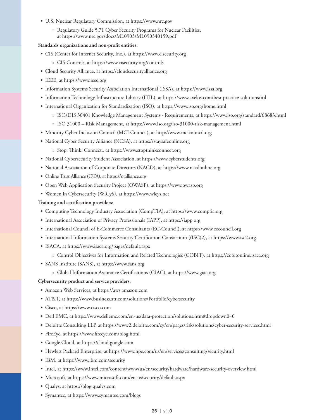- U.S. Nuclear Regulatory Commission, at [https://www.nrc.gov](https://www.nrc.gov/)
	- » Regulatory Guide 5.71 Cyber Security Programs for Nuclear Facilities, at <https://www.nrc.gov/docs/ML0903/ML090340159.pdf>

#### **Standards organizations and non-profit entities:**

- CIS (Center for Internet Security, Inc.), at [https://www.cisecurity.org](https://www.cisecurity.org/)
	- » CIS Controls, at [https://www.cisecurity.org/controls](https://www.cisecurity.org/controls/)
- Cloud Security Alliance, at https://cloudsecurityalliance.org
- IEEE, at https://www.ieee.org
- Information Systems Security Association International (ISSA), at https://www.issa.org
- Information Technology Infrastructure Library (ITIL), at [https://www.axelos.com/best practice-solutions/itil](https://www.axelos.com/best-practice-solutions/itil)
- International Organization for Standardization (ISO), at <https://www.iso.org/home.html>
	- » ISO/DIS 30401 Knowledge Management Systems Requirements, at <https://www.iso.org/standard/68683.html>
	- » ISO 31000 Risk Management, at <https://www.iso.org/iso-31000-risk-management.html>
- Minority Cyber Inclusion Council (MCI Council), at [http://www.mcicouncil.org](http://www.mcicouncil.org/)
- National Cyber Security Alliance (NCSA), at [https://staysafeonline.org](https://staysafeonline.org/)
	- » Stop. Think. Connect., at [https://www.stopthinkconnect.org](https://www.stopthinkconnect.org/)
- National Cybersecurity Student Association, at <https://www.cyberstudents.org>
- National Association of Corporate Directors (NACD), at [https://www.nacdonline.org](https://www.nacdonline.org/)
- Online Trust Alliance (OTA), at [https://otalliance.org](https://otalliance.org/)
- Open Web Application Security Project (OWASP), at https://www.owasp.org
- Women in Cybersecurity (WiCyS), at [https://www.wicys.net](https://www.wicys.net/)

#### **Training and certification providers:**

- Computing Technology Industry Association (CompTIA), at [https://www.comptia.org](https://www.comptia.org/)
- International Association of Privacy Professionals (IAPP), at [https://iapp.org](https://iapp.org/)
- International Council of E-Commerce Consultants (EC-Council), at [https://www.eccouncil.org](https://www.eccouncil.org/)
- International Information Systems Security Certification Consortium ((ISC)2), at [https://www.isc2.org](https://www.isc2.org/)
- ISACA, at <https://www.isaca.org/pages/default.aspx>
	- » Control Objectives for Information and Related Technologies (COBIT), at [https://cobitonline.isaca.org](https://cobitonline.isaca.org/)
- SANS Institute (SANS), at [https://www.sans.org](https://www.sans.org/)
	- » Global Information Assurance Certifications (GIAC), at [https://www.giac.org](https://www.giac.org/)

#### **Cybersecurity product and service providers:**

- Amazon Web Services, at https://aws.amazon.com
- AT&T, at [https://www.business.att.com/solutions/Portfolio/cybersecurity](https://www.business.att.com/solutions/Portfolio/cybersecurity/)
- Cisco, at https://www.cisco.com
- Dell EMC, at<https://www.dellemc.com/en-us/data-protection/solutions.htm#dropdown0=0>
- Deloitte Consulting LLP, at <https://www2.deloitte.com/cy/en/pages/risk/solutions/cyber-security-services.html>
- FireEye, at <https://www.fireeye.com/blog.html>
- Google Cloud, at https://cloud.google.com
- Hewlett Packard Enterprise, at <https://www.hpe.com/us/en/services/consulting/security.html>
- IBM, at <https://www.ibm.com/security>
- Intel, at<https://www.intel.com/content/www/us/en/security/hardware/hardware-security-overview.html>
- Microsoft, at https://www.microsoft.com/en-us/security/default.aspx
- Qualys, at [https://blog.qualys.com](https://blog.qualys.com/)
- Symantec, at [https://www.symantec.com/blogs](https://www.symantec.com/blogs/)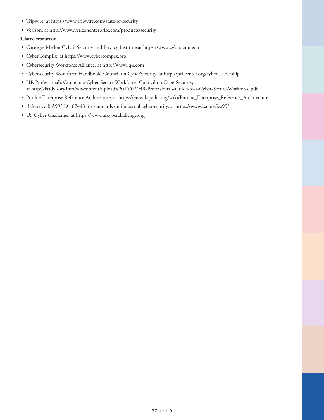- Tripwire, at [https://www.tripwire.com/state-of-security](https://www.tripwire.com/state-of-security/)
- Verizon, at [http://www.verizonenterprise.com/products/security](http://www.verizonenterprise.com/products/security/)

#### **Related resources:**

- Carnegie Mellon CyLab Security and Privacy Institute at [https://www.cylab.cmu.edu](https://www.cylab.cmu.edu/)
- CyberCompEx, at [https://www.cybercompex.org](https://www.cybercompex.org/)
- Cybersecurity Workforce Alliance, at [http://www.iq4.com](http://www.iq4.com/)
- Cybersecurity Workforce Handbook, Council on CyberSecurity, at [http://pellcenter.org/cyber-leadership](http://pellcenter.org/cyber-leadership/)
- HR Professional's Guide to a Cyber-Secure Workforce, Council on CyberSecurity, at<http://iaadvisory.info/wp-content/uploads/2016/02/HR-Professionals-Guide-to-a-Cyber-Secure-Workforce.pdf>
- Purdue Enterprise Reference Architecture, at [https://en.wikipedia.org/wiki/Purdue\\_Enterprise\\_Reference\\_Architecture](https://en.wikipedia.org/wiki/Purdue_Enterprise_Reference_Architecture)
- Reference ISA99/IEC 62443 for standards on industrial cybersecurity, at <https://www.isa.org/isa99/>
- US Cyber Challenge, at [https://www.uscyberchallenge.org](https://www.uscyberchallenge.org/)